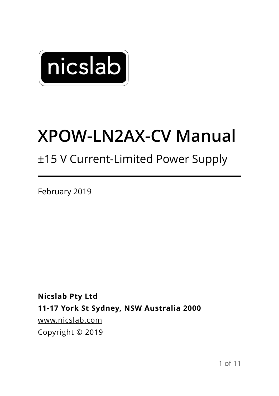

## **XPOW-LN2AX-CV Manual**

### ±15 V Current-Limited Power Supply

February 2019

**Nicslab Pty Ltd 11-17 York St Sydney, NSW Australia 2000**  [www.nicslab.com](http://www.nicslab.com) Copyright © 2019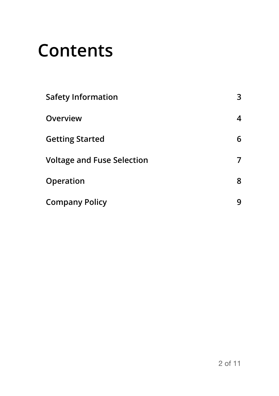## **Contents**

| <b>Safety Information</b>         | 3 |
|-----------------------------------|---|
| Overview                          | 4 |
| <b>Getting Started</b>            | 6 |
| <b>Voltage and Fuse Selection</b> |   |
| Operation                         | 8 |
| <b>Company Policy</b>             | q |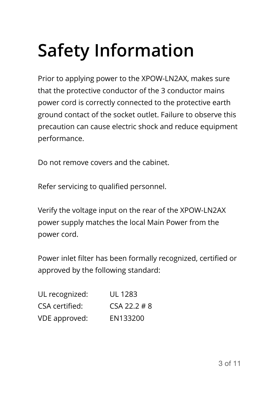# <span id="page-2-0"></span>**Safety Information**

Prior to applying power to the XPOW-LN2AX, makes sure that the protective conductor of the 3 conductor mains power cord is correctly connected to the protective earth ground contact of the socket outlet. Failure to observe this precaution can cause electric shock and reduce equipment performance.

Do not remove covers and the cabinet.

Refer servicing to qualified personnel.

Verify the voltage input on the rear of the XPOW-LN2AX power supply matches the local Main Power from the power cord.

Power inlet filter has been formally recognized, certified or approved by the following standard:

| UL recognized: | UL 1283      |
|----------------|--------------|
| CSA certified: | CSA 22.2 # 8 |
| VDE approved:  | EN133200     |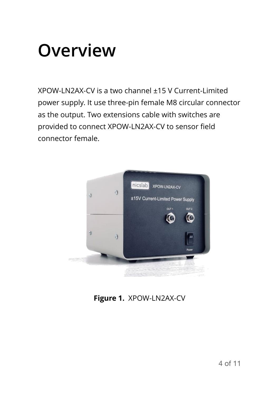## <span id="page-3-0"></span>**Overview**

XPOW-LN2AX-CV is a two channel ±15 V Current-Limited power supply. It use three-pin female M8 circular connector as the output. Two extensions cable with switches are provided to connect XPOW-LN2AX-CV to sensor field connector female.



**Figure 1.** XPOW-LN2AX-CV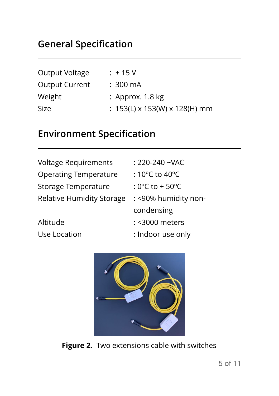### **General Specification**

| Output Voltage        | $\pm$ 15 V                                |
|-----------------------|-------------------------------------------|
| <b>Output Current</b> | :300 mA                                   |
| Weight                | : Approx. $1.8 \text{ kg}$                |
| Size                  | : $153(L) \times 153(W) \times 128(H)$ mm |

### **Environment Specification**

| <b>Voltage Requirements</b>      | : 220-240 ~VAC                       |
|----------------------------------|--------------------------------------|
| <b>Operating Temperature</b>     | : 10 $\degree$ C to 40 $\degree$ C   |
| Storage Temperature              | : $0^{\circ}$ C to + 50 $^{\circ}$ C |
| <b>Relative Humidity Storage</b> | : <90% humidity non-                 |
|                                  | condensing                           |
| Altitude                         | : < 3000 meters                      |
| Use Location                     | : Indoor use only                    |



**Figure 2.** Two extensions cable with switches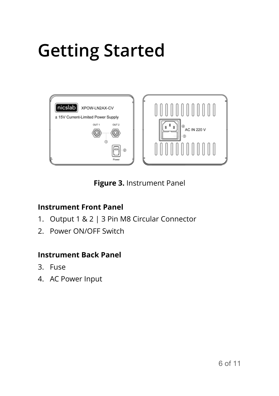# <span id="page-5-0"></span>**Getting Started**



**Figure 3.** Instrument Panel

#### **Instrument Front Panel**

- 1. Output 1 & 2 | 3 Pin M8 Circular Connector
- 2. Power ON/OFF Switch

#### **Instrument Back Panel**

- 3. Fuse
- 4. AC Power Input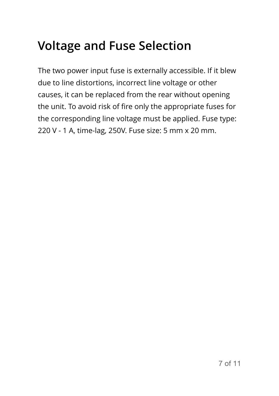### <span id="page-6-0"></span>**Voltage and Fuse Selection**

The two power input fuse is externally accessible. If it blew due to line distortions, incorrect line voltage or other causes, it can be replaced from the rear without opening the unit. To avoid risk of fire only the appropriate fuses for the corresponding line voltage must be applied. Fuse type: 220 V - 1 A, time-lag, 250V. Fuse size: 5 mm x 20 mm.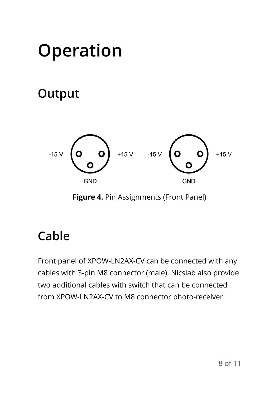## <span id="page-7-0"></span>**Operation**

### **Output**



**Figure 4.** Pin Assignments (Front Panel)

## **Cable**

Front panel of XPOW-LN2AX-CV can be connected with any cables with 3-pin M8 connector (male). Nicslab also provide two additional cables with switch that can be connected from XPOW-LN2AX-CV to M8 connector photo-receiver.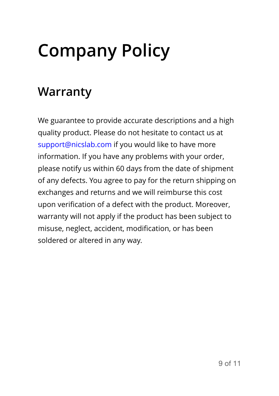# <span id="page-8-0"></span>**Company Policy**

### **Warranty**

We guarantee to provide accurate descriptions and a high quality product. Please do not hesitate to contact us at support@nicslab.com if you would like to have more information. If you have any problems with your order, please notify us within 60 days from the date of shipment of any defects. You agree to pay for the return shipping on exchanges and returns and we will reimburse this cost upon verification of a defect with the product. Moreover, warranty will not apply if the product has been subject to misuse, neglect, accident, modification, or has been soldered or altered in any way.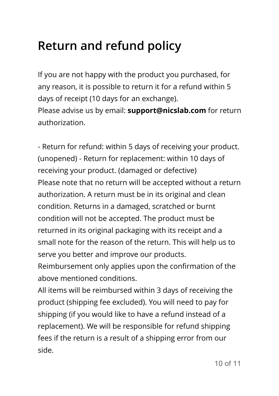### **Return and refund policy**

If you are not happy with the product you purchased, for any reason, it is possible to return it for a refund within 5 days of receipt (10 days for an exchange). Please advise us by email: **support@nicslab.com** for return authorization.

- Return for refund: within 5 days of receiving your product. (unopened) - Return for replacement: within 10 days of receiving your product. (damaged or defective) Please note that no return will be accepted without a return authorization. A return must be in its original and clean condition. Returns in a damaged, scratched or burnt condition will not be accepted. The product must be returned in its original packaging with its receipt and a small note for the reason of the return. This will help us to serve you better and improve our products.

Reimbursement only applies upon the confirmation of the above mentioned conditions.

All items will be reimbursed within 3 days of receiving the product (shipping fee excluded). You will need to pay for shipping (if you would like to have a refund instead of a replacement). We will be responsible for refund shipping fees if the return is a result of a shipping error from our side.